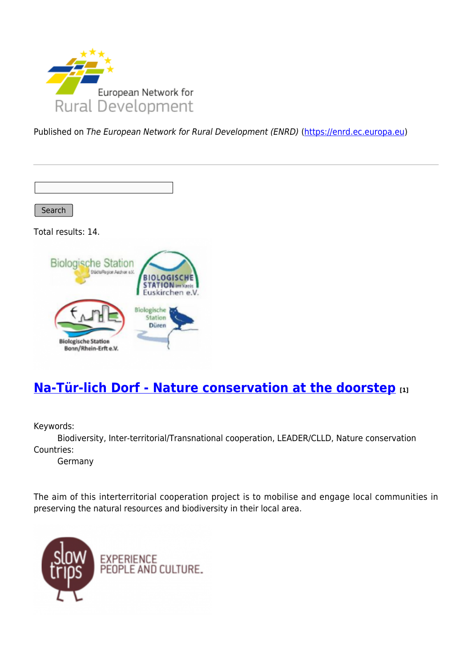

Published on The European Network for Rural Development (ENRD) [\(https://enrd.ec.europa.eu](https://enrd.ec.europa.eu))

Search

Total results: 14.



# **[Na-Tür-lich Dorf - Nature conservation at the doorstep](https://enrd.ec.europa.eu/projects-practice/na-tur-lich-dorf-nature-conservation-doorstep_en) [1]**

Keywords:

Biodiversity, Inter-territorial/Transnational cooperation, LEADER/CLLD, Nature conservation Countries:

Germany

The aim of this interterritorial cooperation project is to mobilise and engage local communities in preserving the natural resources and biodiversity in their local area.

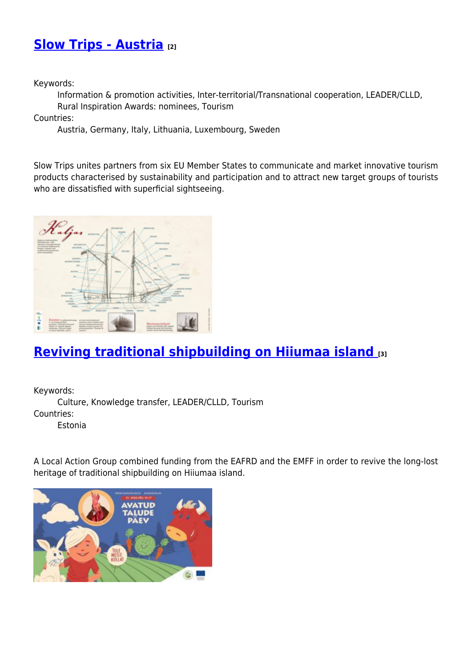## **[Slow Trips - Austria](https://enrd.ec.europa.eu/projects-practice/slow-trips-austria_en) [2]**

Keywords:

Information & promotion activities, Inter-territorial/Transnational cooperation, LEADER/CLLD, Rural Inspiration Awards: nominees, Tourism

Countries:

Austria, Germany, Italy, Lithuania, Luxembourg, Sweden

Slow Trips unites partners from six EU Member States to communicate and market innovative tourism products characterised by sustainability and participation and to attract new target groups of tourists who are dissatisfied with superficial sightseeing.



## **[Reviving traditional shipbuilding on Hiiumaa island](https://enrd.ec.europa.eu/projects-practice/reviving-traditional-shipbuilding-hiiumaa-island_en) [3]**

Keywords: Culture, Knowledge transfer, LEADER/CLLD, Tourism Countries: Estonia

A Local Action Group combined funding from the EAFRD and the EMFF in order to revive the long-lost heritage of traditional shipbuilding on Hiiumaa island.

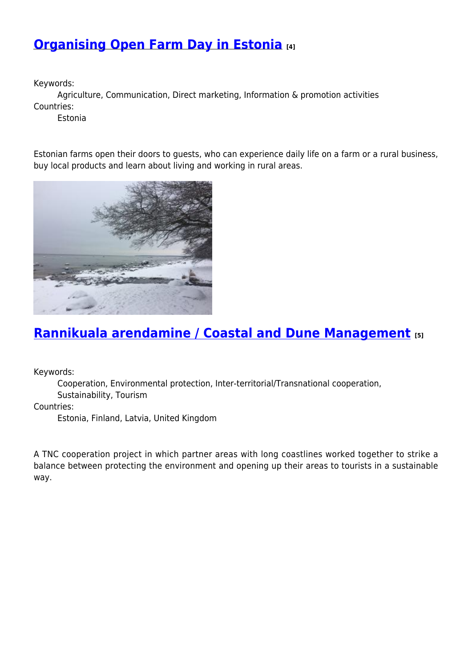#### **[Organising Open Farm Day in Estonia](https://enrd.ec.europa.eu/projects-practice/organising-open-farm-day-estonia_en) [4]**

Keywords:

Agriculture, Communication, Direct marketing, Information & promotion activities Countries:

Estonia

Estonian farms open their doors to guests, who can experience daily life on a farm or a rural business, buy local products and learn about living and working in rural areas.



### **[Rannikuala arendamine / Coastal and Dune Management](https://enrd.ec.europa.eu/projects-practice/rannikuala-arendamine-coastal-and-dune-management_en) [5]**

Keywords:

Cooperation, Environmental protection, Inter-territorial/Transnational cooperation, Sustainability, Tourism

Countries:

Estonia, Finland, Latvia, United Kingdom

A TNC cooperation project in which partner areas with long coastlines worked together to strike a balance between protecting the environment and opening up their areas to tourists in a sustainable way.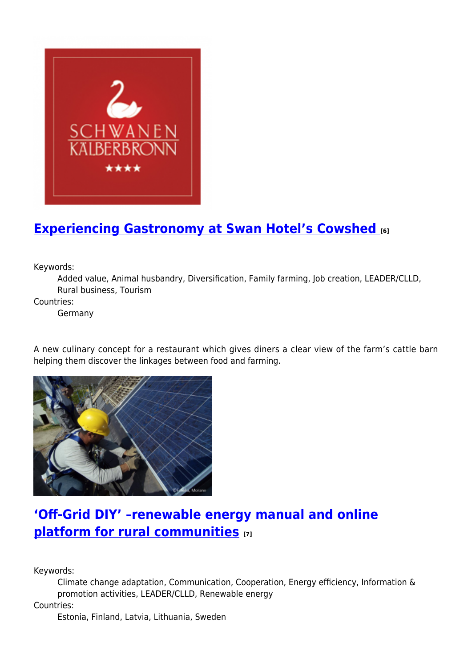

# **[Experiencing Gastronomy at Swan Hotel's Cowshed](https://enrd.ec.europa.eu/projects-practice/experiencing-gastronomy-swan-hotels-cowshed_en) [6]**

Keywords:

Added value, Animal husbandry, Diversification, Family farming, Job creation, LEADER/CLLD, Rural business, Tourism

Countries:

Germany

A new culinary concept for a restaurant which gives diners a clear view of the farm's cattle barn helping them discover the linkages between food and farming.



## **['Off-Grid DIY' –renewable energy manual and online](https://enrd.ec.europa.eu/projects-practice/grid-diy-renewable-energy-manual-and-online-platform-rural-communities_en) [platform for rural communities](https://enrd.ec.europa.eu/projects-practice/grid-diy-renewable-energy-manual-and-online-platform-rural-communities_en) [7]**

Keywords:

Climate change adaptation, Communication, Cooperation, Energy efficiency, Information & promotion activities, LEADER/CLLD, Renewable energy

Countries:

Estonia, Finland, Latvia, Lithuania, Sweden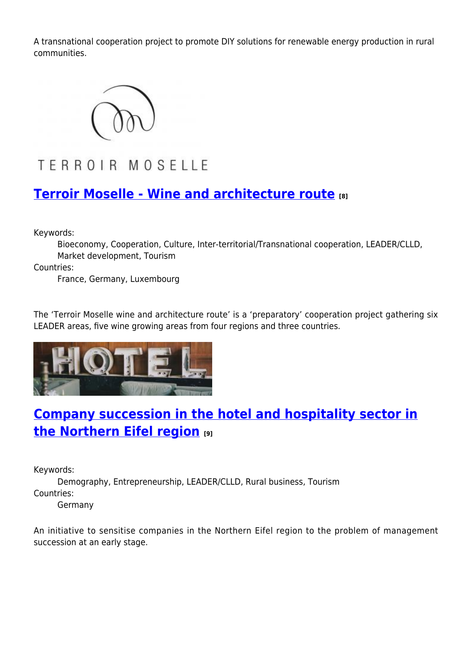A transnational cooperation project to promote DIY solutions for renewable energy production in rural communities.



TERROIR MOSELLE

### **[Terroir Moselle - Wine and architecture route](https://enrd.ec.europa.eu/projects-practice/terroir-moselle-wine-and-architecture-route_en) [8]**

Keywords:

Bioeconomy, Cooperation, Culture, Inter-territorial/Transnational cooperation, LEADER/CLLD, Market development, Tourism

Countries:

France, Germany, Luxembourg

The 'Terroir Moselle wine and architecture route' is a 'preparatory' cooperation project gathering six LEADER areas, five wine growing areas from four regions and three countries.



## **[Company succession in the hotel and hospitality sector in](https://enrd.ec.europa.eu/projects-practice/company-succession-hotel-and-hospitality-sector-northern-eifel-region_en) [the Northern Eifel region](https://enrd.ec.europa.eu/projects-practice/company-succession-hotel-and-hospitality-sector-northern-eifel-region_en) [9]**

Keywords:

Demography, Entrepreneurship, LEADER/CLLD, Rural business, Tourism Countries:

Germany

An initiative to sensitise companies in the Northern Eifel region to the problem of management succession at an early stage.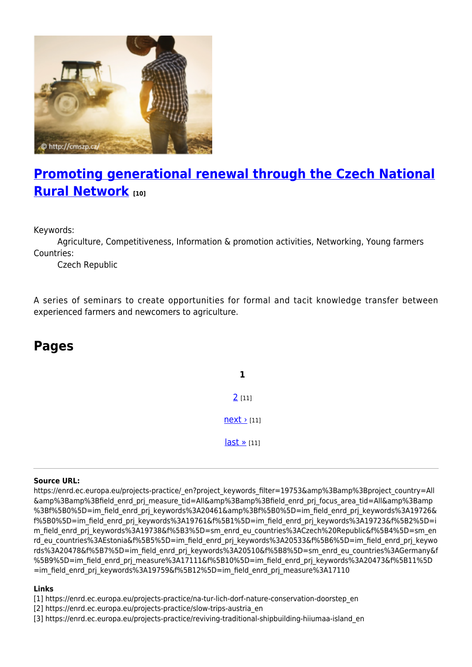

# **[Promoting generational renewal through the Czech National](https://enrd.ec.europa.eu/projects-practice/promoting-generational-renewal-through-czech-national-rural-network_en) [Rural Network](https://enrd.ec.europa.eu/projects-practice/promoting-generational-renewal-through-czech-national-rural-network_en) [10]**

Keywords:

Agriculture, Competitiveness, Information & promotion activities, Networking, Young farmers Countries:

Czech Republic

A series of seminars to create opportunities for formal and tacit knowledge transfer between experienced farmers and newcomers to agriculture.

#### **Pages**

**1** [2](https://enrd.ec.europa.eu/projects-practice/_en?page=1&project_keywords_filter=19753&%3Bamp%3Bproject_country=All&%3Bamp%3Bfield_enrd_prj_measure_tid=All&%3Bamp%3Bfield_enrd_prj_focus_area_tid=All&%3Bamp%3Bf%5B0%5D=im_field_enrd_prj_keywords%3A20461&%3Bf%5B0%5D=im_field_enrd_prj_keywords%3A19726&f%5B0%5D=im_field_enrd_prj_keywords%3A19761&f%5B1%5D=im_field_enrd_prj_keywords%3A19723&f%5B2%5D=im_field_enrd_prj_keywords%3A19738&f%5B3%5D=sm_enrd_eu_countries%3ACzech%20Republic&f%5B4%5D=sm_enrd_eu_countries%3AEstonia&f%5B5%5D=im_field_enrd_prj_keywords%3A20533&f%5B6%5D=im_field_enrd_prj_keywords%3A20478&f%5B7%5D=im_field_enrd_prj_keywords%3A20510&f%5B8%5D=sm_enrd_eu_countries%3AGermany&f%5B9%5D=im_field_enrd_prj_measure%3A17111&f%5B10%5D=im_field_enrd_prj_keywords%3A20473&f%5B11%5D=im_field_enrd_prj_keywords%3A19759&f%5B12%5D=im_field_enrd_prj_measure%3A17110) [11]  $next$  [11]  $last \times [11]$ 

#### **Source URL:**

https://enrd.ec.europa.eu/projects-practice/\_en?project\_keywords\_filter=19753&amp%3Bamp%3Bproject\_country=All &amp%3Bamp%3Bfield\_enrd\_prj\_measure\_tid=All&amp%3Bamp%3Bfield\_enrd\_prj\_focus\_area\_tid=All&amp%3Bamp %3Bf%5B0%5D=im\_field\_enrd\_prj\_keywords%3A20461&amp%3Bf%5B0%5D=im\_field\_enrd\_prj\_keywords%3A19726& f%5B0%5D=im\_field\_enrd\_prj\_keywords%3A19761&f%5B1%5D=im\_field\_enrd\_prj\_keywords%3A19723&f%5B2%5D=i m\_field\_enrd\_prj\_keywords%3A19738&f%5B3%5D=sm\_enrd\_eu\_countries%3ACzech%20Republic&f%5B4%5D=sm\_en rd eu countries%3AEstonia&f%5B5%5D=im field enrd prj keywords%3A20533&f%5B6%5D=im field enrd prj keywo rds%3A20478&f%5B7%5D=im\_field\_enrd\_prj\_keywords%3A20510&f%5B8%5D=sm\_enrd\_eu\_countries%3AGermany&f %5B9%5D=im\_field\_enrd\_prj\_measure%3A17111&f%5B10%5D=im\_field\_enrd\_prj\_keywords%3A20473&f%5B11%5D =im\_field\_enrd\_prj\_keywords%3A19759&f%5B12%5D=im\_field\_enrd\_prj\_measure%3A17110

#### **Links**

[1] https://enrd.ec.europa.eu/projects-practice/na-tur-lich-dorf-nature-conservation-doorstep\_en

[2] https://enrd.ec.europa.eu/projects-practice/slow-trips-austria\_en

[3] https://enrd.ec.europa.eu/projects-practice/reviving-traditional-shipbuilding-hiiumaa-island\_en